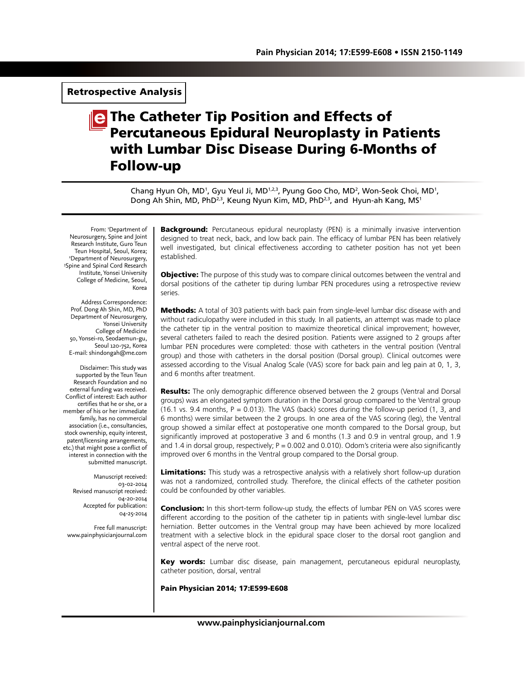# Retrospective Analysis

# The Catheter Tip Position and Effects of Percutaneous Epidural Neuroplasty in Patients with Lumbar Disc Disease During 6-Months of Follow-up

Chang Hyun Oh, MD<sup>1</sup>, Gyu Yeul Ji, MD<sup>1,2,3</sup>, Pyung Goo Cho, MD<sup>2</sup>, Won-Seok Choi, MD<sup>1</sup>, Dong Ah Shin, MD, PhD<sup>2,3</sup>, Keung Nyun Kim, MD, PhD<sup>2,3</sup>, and Hyun-ah Kang, MS<sup>1</sup>

From: 1 Department of Neurosurgery, Spine and Joint Research Institute, Guro Teun Teun Hospital, Seoul, Korea;<br><sup>2</sup>Denartment of Neurosurgery <sup>2</sup>Department of Neurosurgery,<br><sup>3</sup>Snine and Sninal Cord Research <sup>3</sup>Spine and Spinal Cord Research Institute, Yonsei University College of Medicine, Seoul, Korea

Address Correspondence: Prof. Dong Ah Shin, MD, PhD Department of Neurosurgery, Yonsei University College of Medicine 50, Yonsei-ro, Seodaemun-gu, Seoul 120-752, Korea E-mail: shindongah@me.com

Disclaimer: This study was supported by the Teun Teun Research Foundation and no external funding was received. Conflict of interest: Each author certifies that he or she, or a member of his or her immediate family, has no commercial association (i.e., consultancies, stock ownership, equity interest, patent/licensing arrangements, etc.) that might pose a conflict of interest in connection with the submitted manuscript.

> Manuscript received: 03-02-2014 Revised manuscript received: 04-20-2014 Accepted for publication: 04-25-2014

Free full manuscript: www.painphysicianjournal.com

**Background:** Percutaneous epidural neuroplasty (PEN) is a minimally invasive intervention designed to treat neck, back, and low back pain. The efficacy of lumbar PEN has been relatively well investigated, but clinical effectiveness according to catheter position has not yet been established.

**Objective:** The purpose of this study was to compare clinical outcomes between the ventral and dorsal positions of the catheter tip during lumbar PEN procedures using a retrospective review series.

**Methods:** A total of 303 patients with back pain from single-level lumbar disc disease with and without radiculopathy were included in this study. In all patients, an attempt was made to place the catheter tip in the ventral position to maximize theoretical clinical improvement; however, several catheters failed to reach the desired position. Patients were assigned to 2 groups after lumbar PEN procedures were completed: those with catheters in the ventral position (Ventral group) and those with catheters in the dorsal position (Dorsal group). Clinical outcomes were assessed according to the Visual Analog Scale (VAS) score for back pain and leg pain at 0, 1, 3, and 6 months after treatment.

Results: The only demographic difference observed between the 2 groups (Ventral and Dorsal groups) was an elongated symptom duration in the Dorsal group compared to the Ventral group (16.1 vs. 9.4 months,  $P = 0.013$ ). The VAS (back) scores during the follow-up period (1, 3, and 6 months) were similar between the 2 groups. In one area of the VAS scoring (leg), the Ventral group showed a similar effect at postoperative one month compared to the Dorsal group, but significantly improved at postoperative 3 and 6 months (1.3 and 0.9 in ventral group, and 1.9 and 1.4 in dorsal group, respectively;  $P = 0.002$  and 0.010). Odom's criteria were also significantly improved over 6 months in the Ventral group compared to the Dorsal group.

**Limitations:** This study was a retrospective analysis with a relatively short follow-up duration was not a randomized, controlled study. Therefore, the clinical effects of the catheter position could be confounded by other variables.

**Conclusion:** In this short-term follow-up study, the effects of lumbar PEN on VAS scores were different according to the position of the catheter tip in patients with single-level lumbar disc herniation. Better outcomes in the Ventral group may have been achieved by more localized treatment with a selective block in the epidural space closer to the dorsal root ganglion and ventral aspect of the nerve root.

Key words: Lumbar disc disease, pain management, percutaneous epidural neuroplasty, catheter position, dorsal, ventral

Pain Physician 2014; 17:E599-E608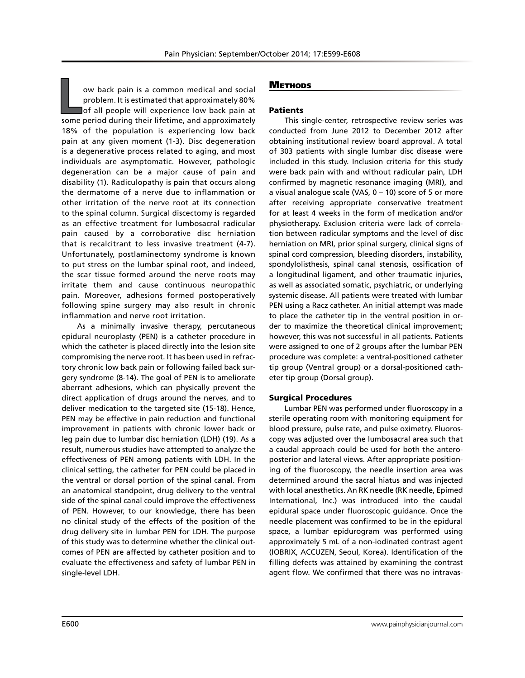**L**ow back pain is a common medical and social problem. It is estimated that approximately 80% of all people will experience low back pain at some period during their lifetime, and approximately 18% of the population is experiencing low back pain at any given moment (1-3). Disc degeneration is a degenerative process related to aging, and most individuals are asymptomatic. However, pathologic degeneration can be a major cause of pain and disability (1). Radiculopathy is pain that occurs along the dermatome of a nerve due to inflammation or other irritation of the nerve root at its connection to the spinal column. Surgical discectomy is regarded as an effective treatment for lumbosacral radicular pain caused by a corroborative disc herniation that is recalcitrant to less invasive treatment (4-7). Unfortunately, postlaminectomy syndrome is known to put stress on the lumbar spinal root, and indeed, the scar tissue formed around the nerve roots may irritate them and cause continuous neuropathic pain. Moreover, adhesions formed postoperatively following spine surgery may also result in chronic inflammation and nerve root irritation.

As a minimally invasive therapy, percutaneous epidural neuroplasty (PEN) is a catheter procedure in which the catheter is placed directly into the lesion site compromising the nerve root. It has been used in refractory chronic low back pain or following failed back surgery syndrome (8-14). The goal of PEN is to ameliorate aberrant adhesions, which can physically prevent the direct application of drugs around the nerves, and to deliver medication to the targeted site (15-18). Hence, PEN may be effective in pain reduction and functional improvement in patients with chronic lower back or leg pain due to lumbar disc herniation (LDH) (19). As a result, numerous studies have attempted to analyze the effectiveness of PEN among patients with LDH. In the clinical setting, the catheter for PEN could be placed in the ventral or dorsal portion of the spinal canal. From an anatomical standpoint, drug delivery to the ventral side of the spinal canal could improve the effectiveness of PEN. However, to our knowledge, there has been no clinical study of the effects of the position of the drug delivery site in lumbar PEN for LDH. The purpose of this study was to determine whether the clinical outcomes of PEN are affected by catheter position and to evaluate the effectiveness and safety of lumbar PEN in single-level LDH.

## **METHODS**

## Patients

This single-center, retrospective review series was conducted from June 2012 to December 2012 after obtaining institutional review board approval. A total of 303 patients with single lumbar disc disease were included in this study. Inclusion criteria for this study were back pain with and without radicular pain, LDH confirmed by magnetic resonance imaging (MRI), and a visual analogue scale (VAS, 0 – 10) score of 5 or more after receiving appropriate conservative treatment for at least 4 weeks in the form of medication and/or physiotherapy. Exclusion criteria were lack of correlation between radicular symptoms and the level of disc herniation on MRI, prior spinal surgery, clinical signs of spinal cord compression, bleeding disorders, instability, spondylolisthesis, spinal canal stenosis, ossification of a longitudinal ligament, and other traumatic injuries, as well as associated somatic, psychiatric, or underlying systemic disease. All patients were treated with lumbar PEN using a Racz catheter. An initial attempt was made to place the catheter tip in the ventral position in order to maximize the theoretical clinical improvement; however, this was not successful in all patients. Patients were assigned to one of 2 groups after the lumbar PEN procedure was complete: a ventral-positioned catheter tip group (Ventral group) or a dorsal-positioned catheter tip group (Dorsal group).

## Surgical Procedures

Lumbar PEN was performed under fluoroscopy in a sterile operating room with monitoring equipment for blood pressure, pulse rate, and pulse oximetry. Fluoroscopy was adjusted over the lumbosacral area such that a caudal approach could be used for both the anteroposterior and lateral views. After appropriate positioning of the fluoroscopy, the needle insertion area was determined around the sacral hiatus and was injected with local anesthetics. An RK needle (RK needle, Epimed International, Inc.) was introduced into the caudal epidural space under fluoroscopic guidance. Once the needle placement was confirmed to be in the epidural space, a lumbar epidurogram was performed using approximately 5 mL of a non-iodinated contrast agent (IOBRIX, ACCUZEN, Seoul, Korea). Identification of the filling defects was attained by examining the contrast agent flow. We confirmed that there was no intravas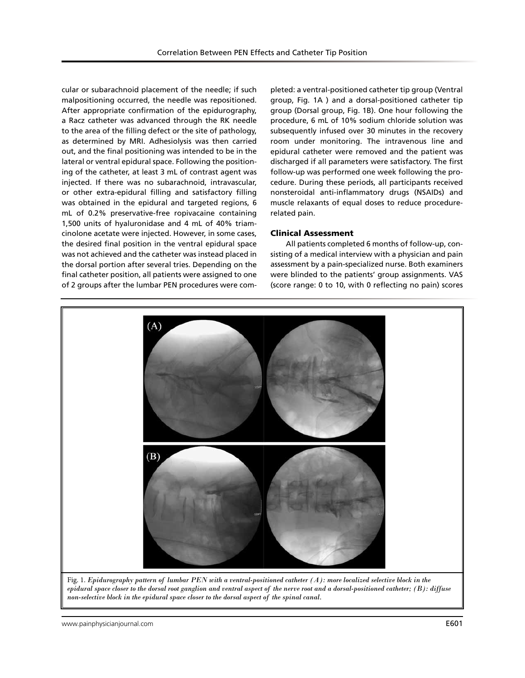cular or subarachnoid placement of the needle; if such malpositioning occurred, the needle was repositioned. After appropriate confirmation of the epidurography, a Racz catheter was advanced through the RK needle to the area of the filling defect or the site of pathology, as determined by MRI. Adhesiolysis was then carried out, and the final positioning was intended to be in the lateral or ventral epidural space. Following the positioning of the catheter, at least 3 mL of contrast agent was injected. If there was no subarachnoid, intravascular, or other extra-epidural filling and satisfactory filling was obtained in the epidural and targeted regions, 6 mL of 0.2% preservative-free ropivacaine containing 1,500 units of hyaluronidase and 4 mL of 40% triamcinolone acetate were injected. However, in some cases, the desired final position in the ventral epidural space was not achieved and the catheter was instead placed in the dorsal portion after several tries. Depending on the final catheter position, all patients were assigned to one of 2 groups after the lumbar PEN procedures were com-

pleted: a ventral-positioned catheter tip group (Ventral group, Fig. 1A ) and a dorsal-positioned catheter tip group (Dorsal group, Fig. 1B). One hour following the procedure, 6 mL of 10% sodium chloride solution was subsequently infused over 30 minutes in the recovery room under monitoring. The intravenous line and epidural catheter were removed and the patient was discharged if all parameters were satisfactory. The first follow-up was performed one week following the procedure. During these periods, all participants received nonsteroidal anti-inflammatory drugs (NSAIDs) and muscle relaxants of equal doses to reduce procedurerelated pain.

## Clinical Assessment

All patients completed 6 months of follow-up, consisting of a medical interview with a physician and pain assessment by a pain-specialized nurse. Both examiners were blinded to the patients' group assignments. VAS (score range: 0 to 10, with 0 reflecting no pain) scores



Fig. 1. *Epidurography pattern of lumbar PEN with a ventral-positioned catheter (A): more localized selective block in the epidural space closer to the dorsal root ganglion and ventral aspect of the nerve root and a dorsal-positioned catheter; (B): diffuse non-selective block in the epidural space closer to the dorsal aspect of the spinal canal.*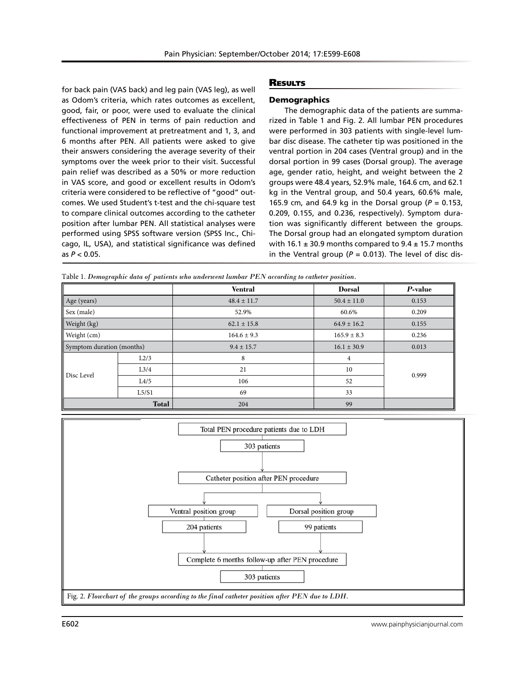for back pain (VAS back) and leg pain (VAS leg), as well as Odom's criteria, which rates outcomes as excellent, good, fair, or poor, were used to evaluate the clinical effectiveness of PEN in terms of pain reduction and functional improvement at pretreatment and 1, 3, and 6 months after PEN. All patients were asked to give their answers considering the average severity of their symptoms over the week prior to their visit. Successful pain relief was described as a 50% or more reduction in VAS score, and good or excellent results in Odom's criteria were considered to be reflective of "good" outcomes. We used Student's t-test and the chi-square test to compare clinical outcomes according to the catheter position after lumbar PEN. All statistical analyses were performed using SPSS software version (SPSS Inc., Chicago, IL, USA), and statistical significance was defined as *P* < 0.05.

#### **RESULTS**

#### **Demographics**

The demographic data of the patients are summarized in Table 1 and Fig. 2. All lumbar PEN procedures were performed in 303 patients with single-level lumbar disc disease. The catheter tip was positioned in the ventral portion in 204 cases (Ventral group) and in the dorsal portion in 99 cases (Dorsal group). The average age, gender ratio, height, and weight between the 2 groups were 48.4 years, 52.9% male, 164.6 cm, and 62.1 kg in the Ventral group, and 50.4 years, 60.6% male, 165.9 cm, and 64.9 kg in the Dorsal group (*P* = 0.153, 0.209, 0.155, and 0.236, respectively). Symptom duration was significantly different between the groups. The Dorsal group had an elongated symptom duration with 16.1  $\pm$  30.9 months compared to 9.4  $\pm$  15.7 months in the Ventral group ( $P = 0.013$ ). The level of disc dis-

Table 1. *Demographic data of patients who underwent lumbar PEN according to catheter position.*

|                           |       | <b>Ventral</b>  | <b>Dorsal</b>   | P-value |
|---------------------------|-------|-----------------|-----------------|---------|
| Age (years)               |       | $48.4 \pm 11.7$ | $50.4 \pm 11.0$ | 0.153   |
| Sex (male)                |       | 52.9%           | 60.6%           | 0.209   |
| Weight (kg)               |       | $62.1 \pm 15.8$ | $64.9 \pm 16.2$ | 0.155   |
| Weight (cm)               |       | $164.6 \pm 9.3$ | $165.9 \pm 8.3$ | 0.236   |
| Symptom duration (months) |       | $9.4 \pm 15.7$  | $16.1 \pm 30.9$ | 0.013   |
| Disc Level                | L2/3  | 8               | 4               | 0.999   |
|                           | L3/4  | 21              | 10              |         |
|                           | L4/5  | 106             | 52              |         |
|                           | L5/S1 | 69              | 33              |         |
| <b>Total</b>              |       | 204             | 99              |         |

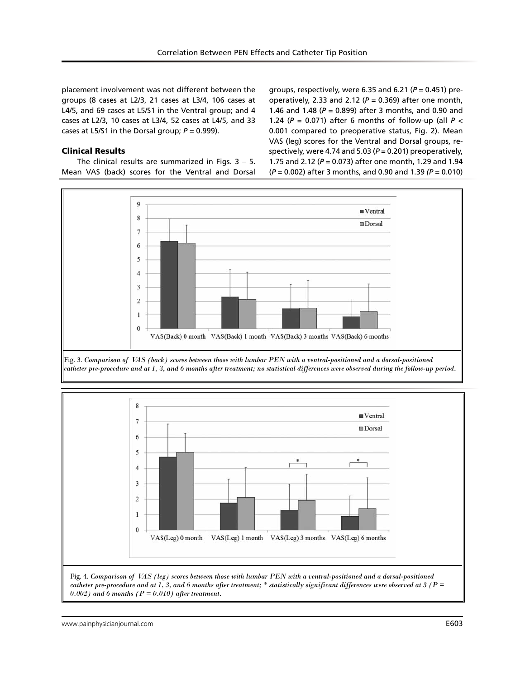placement involvement was not different between the groups (8 cases at L2/3, 21 cases at L3/4, 106 cases at L4/5, and 69 cases at L5/S1 in the Ventral group; and 4 cases at L2/3, 10 cases at L3/4, 52 cases at L4/5, and 33 cases at L5/S1 in the Dorsal group;  $P = 0.999$ ).

## Clinical Results

The clinical results are summarized in Figs.  $3 - 5$ . Mean VAS (back) scores for the Ventral and Dorsal

groups, respectively, were 6.35 and 6.21 (*P* = 0.451) preoperatively, 2.33 and 2.12 (*P* = 0.369) after one month, 1.46 and 1.48 (*P* = 0.899) after 3 months, and 0.90 and 1.24 (*P* = 0.071) after 6 months of follow-up (all *P* < 0.001 compared to preoperative status, Fig. 2). Mean VAS (leg) scores for the Ventral and Dorsal groups, respectively, were 4.74 and 5.03 (*P* = 0.201) preoperatively, 1.75 and 2.12 (*P* = 0.073) after one month, 1.29 and 1.94 (*P* = 0.002) after 3 months, and 0.90 and 1.39 *(P* = 0.010)







Fig. 4. *Comparison of VAS (leg) scores between those with lumbar PEN with a ventral-positioned and a dorsal-positioned catheter pre-procedure and at 1, 3, and 6 months after treatment; \* statistically significant differences were observed at 3 (P =*   $0.002$ ) and 6 months ( $P = 0.010$ ) after treatment.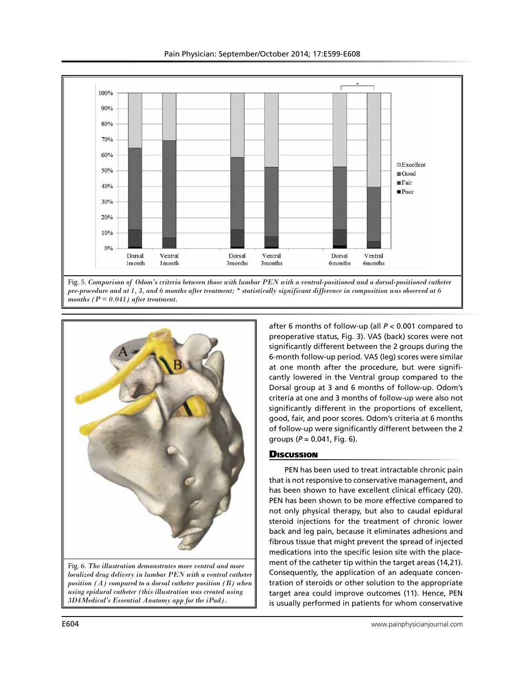



after 6 months of follow-up (all *P* < 0.001 compared to preoperative status, Fig. 3). VAS (back) scores were not significantly different between the 2 groups during the 6-month follow-up period. VAS (leg) scores were similar at one month after the procedure, but were significantly lowered in the Ventral group compared to the Dorsal group at 3 and 6 months of follow-up. Odom's criteria at one and 3 months of follow-up were also not significantly different in the proportions of excellent, good, fair, and poor scores. Odom's criteria at 6 months of follow-up were significantly different between the 2 groups  $(P = 0.041,$  Fig. 6).

## **Discussion**

PEN has been used to treat intractable chronic pain that is not responsive to conservative management, and has been shown to have excellent clinical efficacy (20). PEN has been shown to be more effective compared to not only physical therapy, but also to caudal epidural steroid injections for the treatment of chronic lower back and leg pain, because it eliminates adhesions and fibrous tissue that might prevent the spread of injected medications into the specific lesion site with the placement of the catheter tip within the target areas (14,21). Consequently, the application of an adequate concentration of steroids or other solution to the appropriate target area could improve outcomes (11). Hence, PEN is usually performed in patients for whom conservative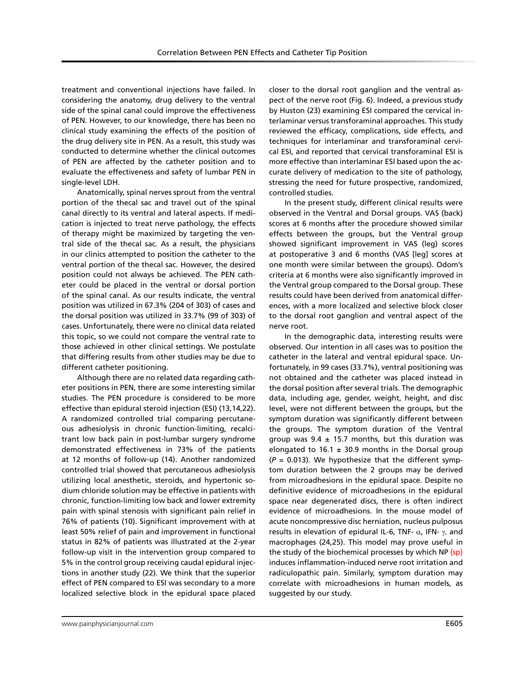treatment and conventional injections have failed. In considering the anatomy, drug delivery to the ventral side of the spinal canal could improve the effectiveness of PEN. However, to our knowledge, there has been no clinical study examining the effects of the position of the drug delivery site in PEN. As a result, this study was conducted to determine whether the clinical outcomes of PEN are affected by the catheter position and to evaluate the effectiveness and safety of lumbar PEN in single-level LDH.

Anatomically, spinal nerves sprout from the ventral portion of the thecal sac and travel out of the spinal canal directly to its ventral and lateral aspects. If medication is injected to treat nerve pathology, the effects of therapy might be maximized by targeting the ventral side of the thecal sac. As a result, the physicians in our clinics attempted to position the catheter to the ventral portion of the thecal sac. However, the desired position could not always be achieved. The PEN catheter could be placed in the ventral or dorsal portion of the spinal canal. As our results indicate, the ventral position was utilized in 67.3% (204 of 303) of cases and the dorsal position was utilized in 33.7% (99 of 303) of cases. Unfortunately, there were no clinical data related this topic, so we could not compare the ventral rate to those achieved in other clinical settings. We postulate that differing results from other studies may be due to different catheter positioning.

Although there are no related data regarding catheter positions in PEN, there are some interesting similar studies. The PEN procedure is considered to be more effective than epidural steroid injection (ESI) (13,14,22). A randomized controlled trial comparing percutaneous adhesiolysis in chronic function-limiting, recalcitrant low back pain in post-lumbar surgery syndrome demonstrated effectiveness in 73% of the patients at 12 months of follow-up (14). Another randomized controlled trial showed that percutaneous adhesiolysis utilizing local anesthetic, steroids, and hypertonic sodium chloride solution may be effective in patients with chronic, function-limiting low back and lower extremity pain with spinal stenosis with significant pain relief in 76% of patients (10). Significant improvement with at least 50% relief of pain and improvement in functional status in 82% of patients was illustrated at the 2-year follow-up visit in the intervention group compared to 5% in the control group receiving caudal epidural injections in another study (22). We think that the superior effect of PEN compared to ESI was secondary to a more localized selective block in the epidural space placed

closer to the dorsal root ganglion and the ventral aspect of the nerve root (Fig. 6). Indeed, a previous study by Huston (23) examining ESI compared the cervical interlaminar versus transforaminal approaches. This study reviewed the efficacy, complications, side effects, and techniques for interlaminar and transforaminal cervical ESI, and reported that cervical transforaminal ESI is more effective than interlaminar ESI based upon the accurate delivery of medication to the site of pathology, stressing the need for future prospective, randomized, controlled studies.

In the present study, different clinical results were observed in the Ventral and Dorsal groups. VAS (back) scores at 6 months after the procedure showed similar effects between the groups, but the Ventral group showed significant improvement in VAS (leg) scores at postoperative 3 and 6 months (VAS [leg] scores at one month were similar between the groups). Odom's criteria at 6 months were also significantly improved in the Ventral group compared to the Dorsal group. These results could have been derived from anatomical differences, with a more localized and selective block closer to the dorsal root ganglion and ventral aspect of the nerve root.

In the demographic data, interesting results were observed. Our intention in all cases was to position the catheter in the lateral and ventral epidural space. Unfortunately, in 99 cases (33.7%), ventral positioning was not obtained and the catheter was placed instead in the dorsal position after several trials. The demographic data, including age, gender, weight, height, and disc level, were not different between the groups, but the symptom duration was significantly different between the groups. The symptom duration of the Ventral group was  $9.4 \pm 15.7$  months, but this duration was elongated to 16.1  $\pm$  30.9 months in the Dorsal group  $(P = 0.013)$ . We hypothesize that the different symptom duration between the 2 groups may be derived from microadhesions in the epidural space. Despite no definitive evidence of microadhesions in the epidural space near degenerated discs, there is often indirect evidence of microadhesions. In the mouse model of acute noncompressive disc herniation, nucleus pulposus results in elevation of epidural IL-6, TNF-  $\alpha$ , IFN-  $\gamma$ , and macrophages (24,25). This model may prove useful in the study of the biochemical processes by which NP  $\{sp\}$ induces inflammation-induced nerve root irritation and radiculopathic pain. Similarly, symptom duration may correlate with microadhesions in human models, as suggested by our study.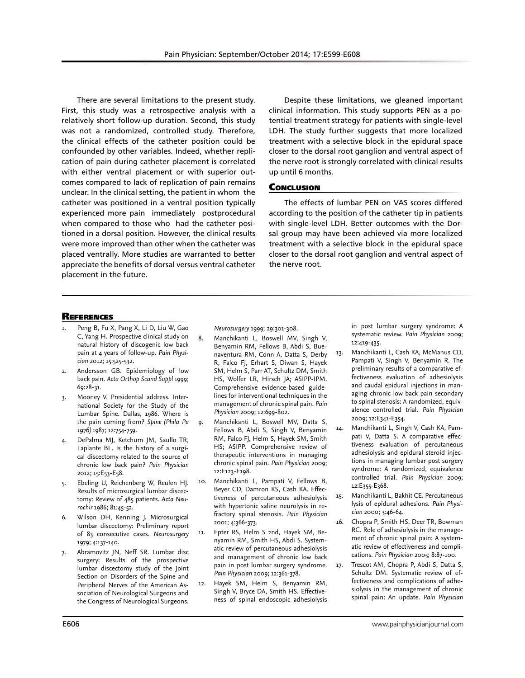There are several limitations to the present study. First, this study was a retrospective analysis with a relatively short follow-up duration. Second, this study was not a randomized, controlled study. Therefore, the clinical effects of the catheter position could be confounded by other variables. Indeed, whether replication of pain during catheter placement is correlated with either ventral placement or with superior outcomes compared to lack of replication of pain remains unclear. In the clinical setting, the patient in whom the catheter was positioned in a ventral position typically experienced more pain immediately postprocedural when compared to those who had the catheter positioned in a dorsal position. However, the clinical results were more improved than other when the catheter was placed ventrally. More studies are warranted to better appreciate the benefits of dorsal versus ventral catheter placement in the future.

Despite these limitations, we gleaned important clinical information. This study supports PEN as a potential treatment strategy for patients with single-level LDH. The study further suggests that more localized treatment with a selective block in the epidural space closer to the dorsal root ganglion and ventral aspect of the nerve root is strongly correlated with clinical results up until 6 months.

## **CONCLUSION**

The effects of lumbar PEN on VAS scores differed according to the position of the catheter tip in patients with single-level LDH. Better outcomes with the Dorsal group may have been achieved via more localized treatment with a selective block in the epidural space closer to the dorsal root ganglion and ventral aspect of the nerve root.

#### **REFERENCES**

- Peng B, Fu X, Pang X, Li D, Liu W, Gao C, Yang H. Prospective clinical study on natural history of discogenic low back pain at 4 years of follow-up. *Pain Physician* 2012; 15:525-532.
- 2. Andersson GB. Epidemiology of low back pain. *Acta Orthop Scand Suppl* 1999; 69:28-31.
- 3. Mooney V. Presidential address. International Society for the Study of the Lumbar Spine. Dallas, 1986. Where is the pain coming from? *Spine (Phila Pa 1976)* 1987; 12:754-759.
- 4. DePalma MJ, Ketchum JM, Saullo TR, Laplante BL. Is the history of a surgical discectomy related to the source of chronic low back pain? *Pain Physician* 2012; 15:E53-E58.
- 5. Ebeling U, Reichenberg W, Reulen HJ. Results of microsurgical lumbar discectomy: Review of 485 patients. *Acta Neurochir* 1986; 81:45-52.
- Wilson DH, Kenning J. Microsurgical lumbar discectomy: Preliminary report of 83 consecutive cases. *Neurosurgery* 1979; 4:137-140.
- 7. Abramovitz JN, Neff SR. Lumbar disc surgery: Results of the prospective lumbar discectomy study of the Joint Section on Disorders of the Spine and Peripheral Nerves of the American Association of Neurological Surgeons and the Congress of Neurological Surgeons.

*Neurosurgery* 1999; 29:301-308.

- 8. Manchikanti L, Boswell MV, Singh V, Benyamin RM, Fellows B, Abdi S, Buenaventura RM, Conn A, Datta S, Derby R, Falco FJ, Erhart S, Diwan S, Hayek SM, Helm S, Parr AT, Schultz DM, Smith HS, Wolfer LR, Hirsch JA; ASIPP-IPM. Comprehensive evidence-based guidelines for interventional techniques in the management of chronic spinal pain. *Pain Physician* 2009; 12:699-802.
- Manchikanti L, Boswell MV, Datta S, Fellows B, Abdi S, Singh V, Benyamin RM, Falco FJ, Helm S, Hayek SM, Smith HS; ASIPP. Comprehensive review of therapeutic interventions in managing chronic spinal pain. *Pain Physician* 2009; 12:E123-E198.
- 10. Manchikanti L, Pampati V, Fellows B, Beyer CD, Damron KS, Cash KA. Effectiveness of percutaneous adhesiolysis with hypertonic saline neurolysis in refractory spinal stenosis. *Pain Physician* 2001; 4:366-373.
- 11. Epter RS, Helm S 2nd, Hayek SM, Benyamin RM, Smith HS, Abdi S. Systematic review of percutaneous adhesiolysis and management of chronic low back pain in post lumbar surgery syndrome. *Pain Physician* 2009; 12:361-378.
- 12. Hayek SM, Helm S, Benyamin RM, Singh V, Bryce DA, Smith HS. Effectiveness of spinal endoscopic adhesiolysis

in post lumbar surgery syndrome: A systematic review. *Pain Physician* 2009; 12:419-435.

- 13. Manchikanti L, Cash KA, McManus CD, Pampati V, Singh V, Benyamin R. The preliminary results of a comparative effectiveness evaluation of adhesiolysis and caudal epidural injections in managing chronic low back pain secondary to spinal stenosis: A randomized, equivalence controlled trial. *Pain Physician* 2009; 12:E341-E354.
- 14. Manchikanti L, Singh V, Cash KA, Pampati V, Datta S. A comparative effectiveness evaluation of percutaneous adhesiolysis and epidural steroid injections in managing lumbar post surgery syndrome: A randomized, equivalence controlled trial. *Pain Physician* 2009; 12:E355-E368.
- 15. Manchikanti L, Bakhit CE. Percutaneous lysis of epidural adhesions. *Pain Physician* 2000; 3:46-64.
- 16. Chopra P, Smith HS, Deer TR, Bowman RC. Role of adhesiolysis in the management of chronic spinal pain: A systematic review of effectiveness and complications. *Pain Physician* 2005; 8:87-100.
- 17. Trescot AM, Chopra P, Abdi S, Datta S, Schultz DM. Systematic review of effectiveness and complications of adhesiolysis in the management of chronic spinal pain: An update. *Pain Physician*